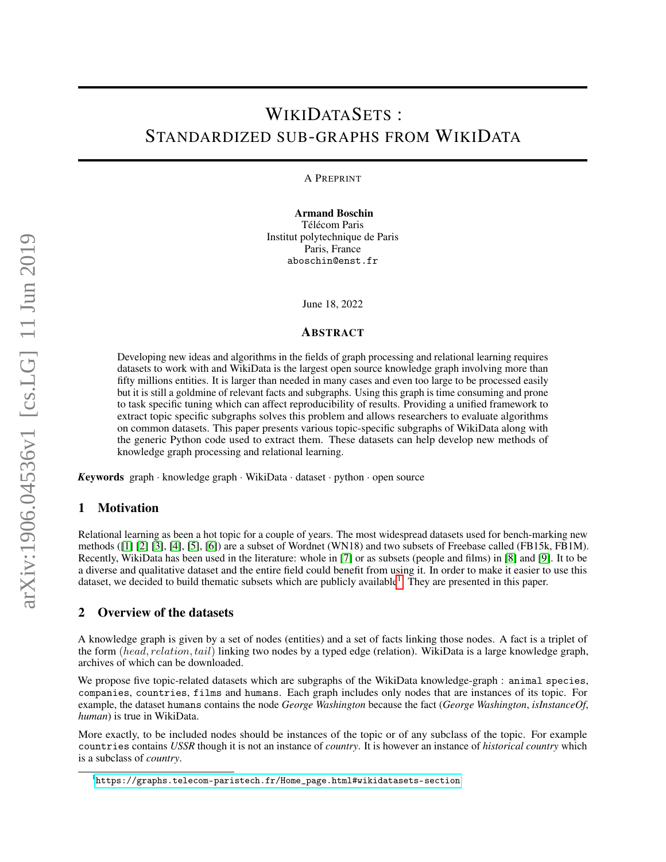# WIKIDATASETS : STANDARDIZED SUB-GRAPHS FROM WIKIDATA

A PREPRINT

Armand Boschin Télécom Paris Institut polytechnique de Paris Paris, France aboschin@enst.fr

June 18, 2022

#### ABSTRACT

Developing new ideas and algorithms in the fields of graph processing and relational learning requires datasets to work with and WikiData is the largest open source knowledge graph involving more than fifty millions entities. It is larger than needed in many cases and even too large to be processed easily but it is still a goldmine of relevant facts and subgraphs. Using this graph is time consuming and prone to task specific tuning which can affect reproducibility of results. Providing a unified framework to extract topic specific subgraphs solves this problem and allows researchers to evaluate algorithms on common datasets. This paper presents various topic-specific subgraphs of WikiData along with the generic Python code used to extract them. These datasets can help develop new methods of knowledge graph processing and relational learning.

*K*eywords graph · knowledge graph · WikiData · dataset · python · open source

### 1 Motivation

Relational learning as been a hot topic for a couple of years. The most widespread datasets used for bench-marking new methods ([\[1\]](#page-5-0) [\[2\]](#page-5-1) [\[3\]](#page-5-2), [\[4\]](#page-5-3), [\[5\]](#page-6-0), [\[6\]](#page-6-1)) are a subset of Wordnet (WN18) and two subsets of Freebase called (FB15k, FB1M). Recently, WikiData has been used in the literature: whole in [\[7\]](#page-6-2) or as subsets (people and films) in [\[8\]](#page-6-3) and [\[9\]](#page-6-4). It to be a diverse and qualitative dataset and the entire field could benefit from using it. In order to make it easier to use this dataset, we decided to build thematic subsets which are publicly available<sup>[1](#page-0-0)</sup>. They are presented in this paper.

## 2 Overview of the datasets

A knowledge graph is given by a set of nodes (entities) and a set of facts linking those nodes. A fact is a triplet of the form (head, relation, tail) linking two nodes by a typed edge (relation). WikiData is a large knowledge graph, archives of which can be downloaded.

We propose five topic-related datasets which are subgraphs of the WikiData knowledge-graph : animal species, companies, countries, films and humans. Each graph includes only nodes that are instances of its topic. For example, the dataset humans contains the node *George Washington* because the fact (*George Washington*, *isInstanceOf*, *human*) is true in WikiData.

More exactly, to be included nodes should be instances of the topic or of any subclass of the topic. For example countries contains *USSR* though it is not an instance of *country*. It is however an instance of *historical country* which is a subclass of *country*.

<span id="page-0-0"></span> $1$ [https://graphs.telecom-paristech.fr/Home\\_page.html#wikidatasets-section](https://graphs.telecom-paristech.fr/Home_page.html#wikidatasets-section)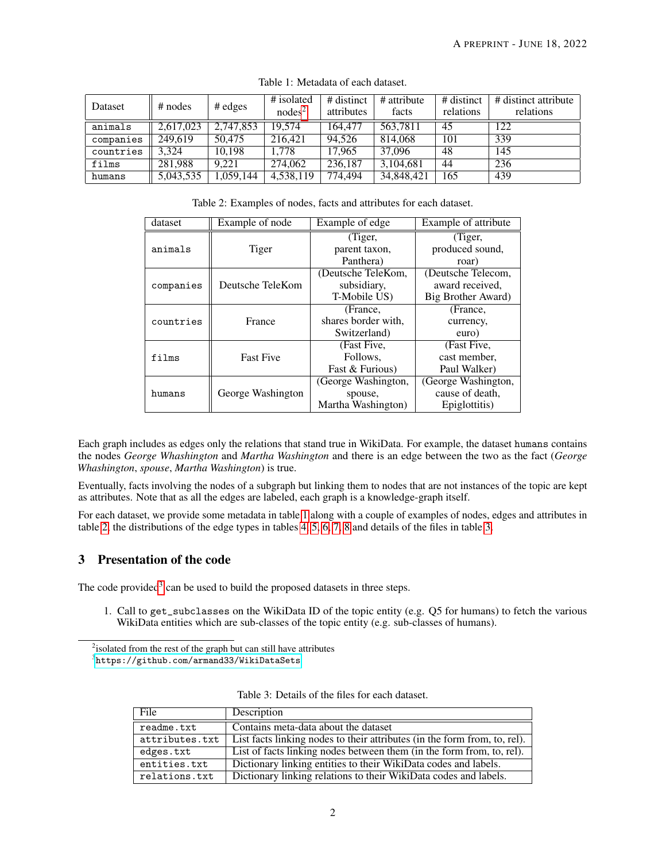| Dataset   | $#$ nodes | $#$ edges | # isolated<br>$nodes^2$ | # distinct<br>attributes | # attribute<br>facts | # distinct<br>relations | # distinct attribute<br>relations |
|-----------|-----------|-----------|-------------------------|--------------------------|----------------------|-------------------------|-----------------------------------|
| animals   | 2,617,023 | 2,747,853 | 19.574                  | 164,477                  | 563,7811             | 45                      | 122                               |
| companies | 249,619   | 50.475    | 216.421                 | 94.526                   | 814,068              | 101                     | 339                               |
| countries | 3.324     | 10.198    | 1.778                   | 17.965                   | 37,096               | 48                      | 145                               |
| films     | 281.988   | 9.221     | 274,062                 | 236,187                  | 3.104.681            | 44                      | 236                               |
| humans    | 5,043,535 | 1,059,144 | 4,538,119               | 774.494                  | 34,848,421           | 165                     | 439                               |

<span id="page-1-1"></span>Table 1: Metadata of each dataset.

<span id="page-1-2"></span>Table 2: Examples of nodes, facts and attributes for each dataset.

| dataset   | Example of node        | Example of edge     | Example of attribute |  |
|-----------|------------------------|---------------------|----------------------|--|
|           |                        | (Tiger,             | (Tiger,              |  |
| animals   | Tiger<br>parent taxon, |                     | produced sound,      |  |
|           |                        | Panthera)           | roar)                |  |
|           |                        | (Deutsche TeleKom,  | (Deutsche Telecom,   |  |
| companies | Deutsche TeleKom       | subsidiary,         | award received.      |  |
|           |                        | T-Mobile US)        | Big Brother Award)   |  |
|           |                        | (France.            | (France,             |  |
| countries | France                 | shares border with. | currency,            |  |
|           |                        | Switzerland)        | euro)                |  |
|           |                        | (Fast Five,         | (Fast Five,          |  |
| films     | <b>Fast Five</b>       | Follows.            | cast member.         |  |
|           |                        | Fast & Furious)     | Paul Walker)         |  |
|           |                        | (George Washington, | (George Washington,  |  |
| humans    | George Washington      | spouse,             | cause of death,      |  |
|           |                        | Martha Washington)  | Epiglottitis)        |  |

Each graph includes as edges only the relations that stand true in WikiData. For example, the dataset humans contains the nodes *George Whashington* and *Martha Washington* and there is an edge between the two as the fact (*George Whashington*, *spouse*, *Martha Washington*) is true.

Eventually, facts involving the nodes of a subgraph but linking them to nodes that are not instances of the topic are kept as attributes. Note that as all the edges are labeled, each graph is a knowledge-graph itself.

For each dataset, we provide some metadata in table [1](#page-1-1) along with a couple of examples of nodes, edges and attributes in table [2,](#page-1-2) the distributions of the edge types in tables [4,](#page-2-0) [5,](#page-2-1) [6,](#page-3-0) [7,](#page-3-1) [8](#page-4-0) and details of the files in table [3.](#page-1-3)

# 3 Presentation of the code

The code provided<sup>[3](#page-1-4)</sup> can be used to build the proposed datasets in three steps.

1. Call to get\_subclasses on the WikiData ID of the topic entity (e.g. Q5 for humans) to fetch the various WikiData entities which are sub-classes of the topic entity (e.g. sub-classes of humans).

<span id="page-1-4"></span> $^3$ <https://github.com/armand33/WikiDataSets>

| File           | Description                                                               |
|----------------|---------------------------------------------------------------------------|
| readme.txt     | Contains meta-data about the dataset                                      |
| attributes.txt | List facts linking nodes to their attributes (in the form from, to, rel). |
| edges.txt      | List of facts linking nodes between them (in the form from, to, rel).     |
| entities.txt   | Dictionary linking entities to their WikiData codes and labels.           |
| relations.txt  | Dictionary linking relations to their WikiData codes and labels.          |

<span id="page-1-3"></span>Table 3: Details of the files for each dataset.

<span id="page-1-0"></span><sup>&</sup>lt;sup>2</sup>isolated from the rest of the graph but can still have attributes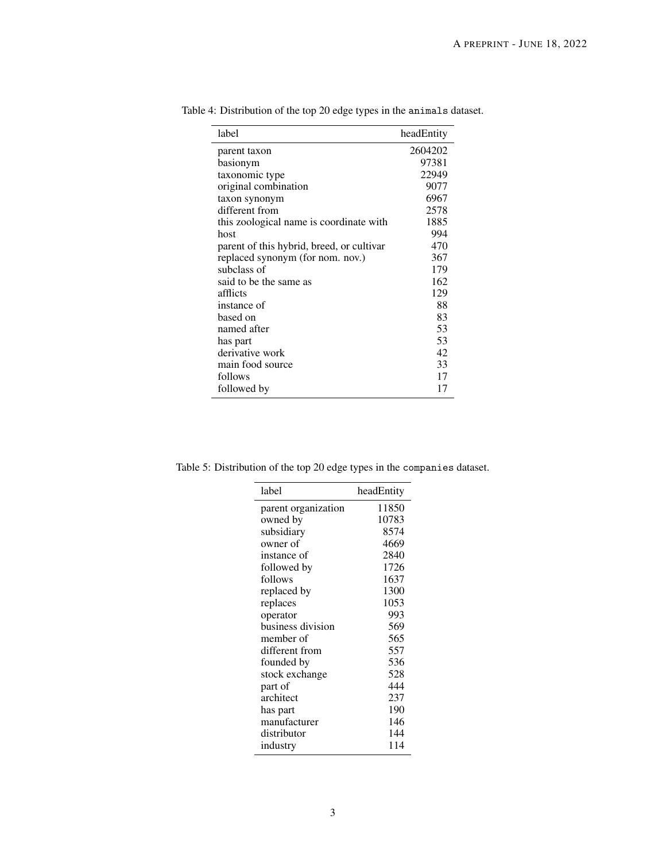<span id="page-2-0"></span>

| label                                     | headEntity |
|-------------------------------------------|------------|
| parent taxon                              | 2604202    |
| basionym                                  | 97381      |
| taxonomic type                            | 22949      |
| original combination                      | 9077       |
| taxon synonym                             | 6967       |
| different from                            | 2578       |
| this zoological name is coordinate with   | 1885       |
| host                                      | 994        |
| parent of this hybrid, breed, or cultivar | 470        |
| replaced synonym (for nom. nov.)          | 367        |
| subclass of                               | 179        |
| said to be the same as                    | 162        |
| afflicts                                  | 129        |
| instance of                               | 88         |
| based on                                  | 83         |
| named after                               | 53         |
| has part                                  | 53         |
| derivative work                           | 42         |
| main food source                          | 33         |
| follows                                   | 17         |
| followed by                               | 17         |

Table 4: Distribution of the top 20 edge types in the animals dataset.

<span id="page-2-1"></span>

| Table 5: Distribution of the top 20 edge types in the companies dataset. |  |
|--------------------------------------------------------------------------|--|

| label               | headEntity |
|---------------------|------------|
| parent organization | 11850      |
| owned by            | 10783      |
| subsidiary          | 8574       |
| owner of            | 4669       |
| instance of         | 2840       |
| followed by         | 1726       |
| follows             | 1637       |
| replaced by         | 1300       |
| replaces            | 1053       |
| operator            | 993        |
| business division   | 569        |
| member of           | 565        |
| different from      | 557        |
| founded by          | 536        |
| stock exchange      | 528        |
| part of             | 444        |
| architect           | 237        |
| has part            | 190        |
| manufacturer        | 146        |
| distributor         | 144        |
| industry            | 114        |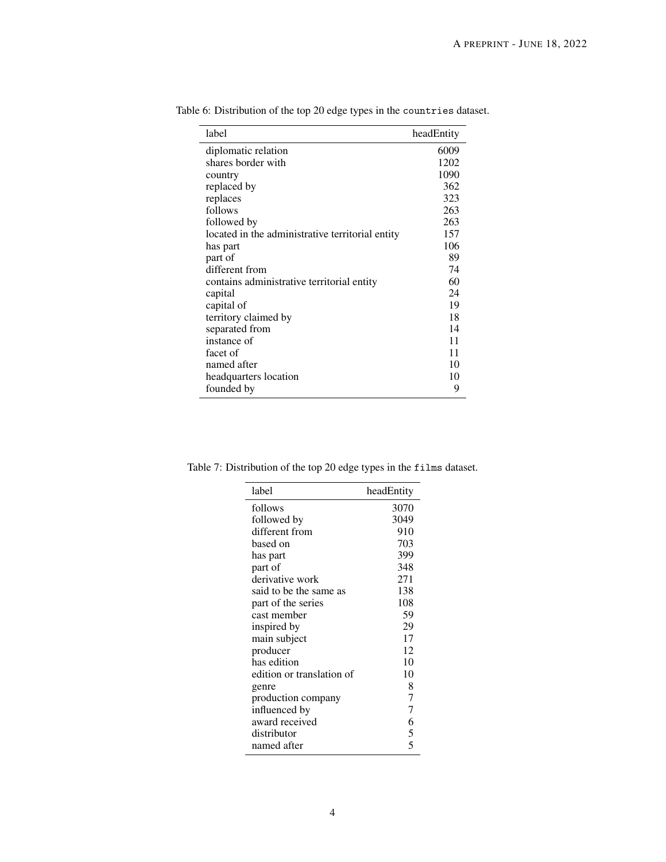<span id="page-3-0"></span>

| label                                            | headEntity |
|--------------------------------------------------|------------|
| diplomatic relation                              | 6009       |
| shares border with                               | 1202       |
| country                                          | 1090       |
| replaced by                                      | 362        |
| replaces                                         | 323        |
| follows                                          | 263        |
| followed by                                      | 263        |
| located in the administrative territorial entity | 157        |
| has part                                         | 106        |
| part of                                          | 89         |
| different from                                   | 74         |
| contains administrative territorial entity       | 60         |
| capital                                          | 24         |
| capital of                                       | 19         |
| territory claimed by                             | 18         |
| separated from                                   | 14         |
| instance of                                      | 11         |
| facet of                                         | 11         |
| named after                                      | 10         |
| headquarters location                            | 10         |
| founded by                                       | 9          |

Table 6: Distribution of the top 20 edge types in the countries dataset.

<span id="page-3-1"></span>

| label                     | headEntity |
|---------------------------|------------|
| follows                   | 3070       |
| followed by               | 3049       |
| different from            | 910        |
| based on                  | 703        |
| has part                  | 399        |
| part of                   | 348        |
| derivative work           | 271        |
| said to be the same as    | 138        |
| part of the series        | 108        |
| cast member               | 59         |
| inspired by               | 29         |
| main subject              | 17         |
| producer                  | 12         |
| has edition               | 10         |
| edition or translation of | 10         |
| genre                     | 8          |
| production company        | 7          |
| influenced by             | 7          |
| award received            | 6          |
| distributor               | 5          |
| named after               | 5          |

Table 7: Distribution of the top 20 edge types in the films dataset.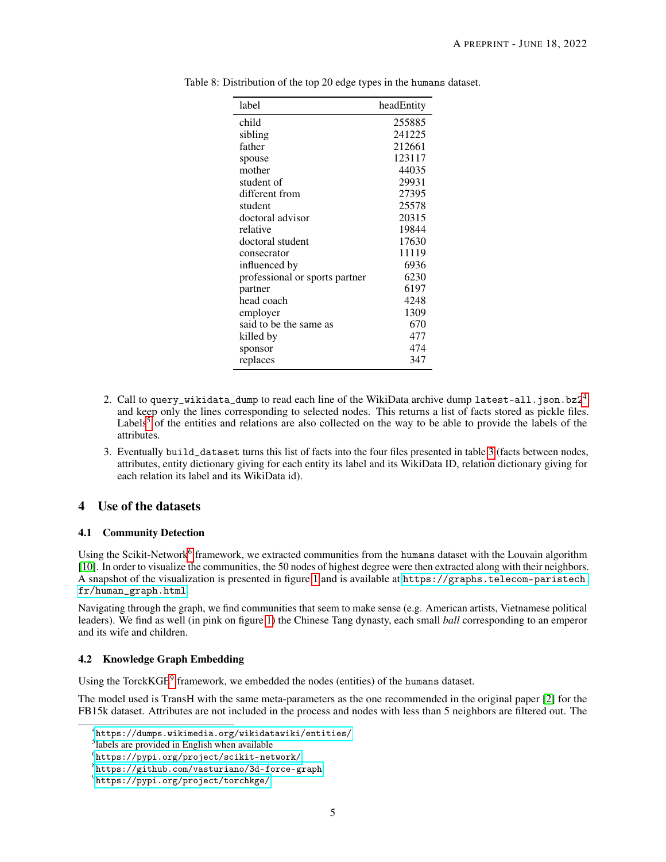<span id="page-4-0"></span>

| label                          | headEntity |
|--------------------------------|------------|
| child                          | 255885     |
| sibling                        | 241225     |
| father                         | 212661     |
| spouse                         | 123117     |
| mother                         | 44035      |
| student of                     | 29931      |
| different from                 | 27395      |
| student                        | 25578      |
| doctoral advisor               | 20315      |
| relative                       | 19844      |
| doctoral student               | 17630      |
| consecrator                    | 11119      |
| influenced by                  | 6936       |
| professional or sports partner | 6230       |
| partner                        | 6197       |
| head coach                     | 4248       |
| employer                       | 1309       |
| said to be the same as         | 670        |
| killed by                      | 477        |
| sponsor                        | 474        |
| replaces                       | 347        |

Table 8: Distribution of the top 20 edge types in the humans dataset.

- 2. Call to query\_wikidata\_dump to read each line of the WikiData archive dump latest-all.json.bz $2^4$  $2^4$ and keep only the lines corresponding to selected nodes. This returns a list of facts stored as pickle files. Labels<sup>[5](#page-4-2)</sup> of the entities and relations are also collected on the way to be able to provide the labels of the attributes.
- 3. Eventually build\_dataset turns this list of facts into the four files presented in table [3](#page-1-3) (facts between nodes, attributes, entity dictionary giving for each entity its label and its WikiData ID, relation dictionary giving for each relation its label and its WikiData id).

# 4 Use of the datasets

## 4.1 Community Detection

Using the Scikit-Network<sup>[6](#page-4-3)</sup> framework, we extracted communities from the humans dataset with the Louvain algorithm [\[10\]](#page-6-5). In order to visualize the communities, the 50 nodes of highest degree were then extracted along with their neighbors. A snapshot of the visualization is presented in figure [1](#page-5-4) and is available at [https://graphs.telecom-paristech.](https://graphs.telecom-paristech.fr/human_graph.html) [fr/human\\_graph.html](https://graphs.telecom-paristech.fr/human_graph.html).

Navigating through the graph, we find communities that seem to make sense (e.g. American artists, Vietnamese political leaders). We find as well (in pink on figure [1\)](#page-5-4) the Chinese Tang dynasty, each small *ball* corresponding to an emperor and its wife and children.

## 4.2 Knowledge Graph Embedding

Using the TorckKGE<sup>[9](#page-4-4)</sup> framework, we embedded the nodes (entities) of the humans dataset.

The model used is TransH with the same meta-parameters as the one recommended in the original paper [\[2\]](#page-5-1) for the FB15k dataset. Attributes are not included in the process and nodes with less than 5 neighbors are filtered out. The

<span id="page-4-1"></span><sup>4</sup> <https://dumps.wikimedia.org/wikidatawiki/entities/>

<span id="page-4-2"></span><sup>&</sup>lt;sup>5</sup>labels are provided in English when available

<span id="page-4-3"></span> $^6$ <https://pypi.org/project/scikit-network/>

<span id="page-4-5"></span> $8$ <https://github.com/vasturiano/3d-force-graph>

<span id="page-4-4"></span> $^{9}$ <https://pypi.org/project/torchkge/>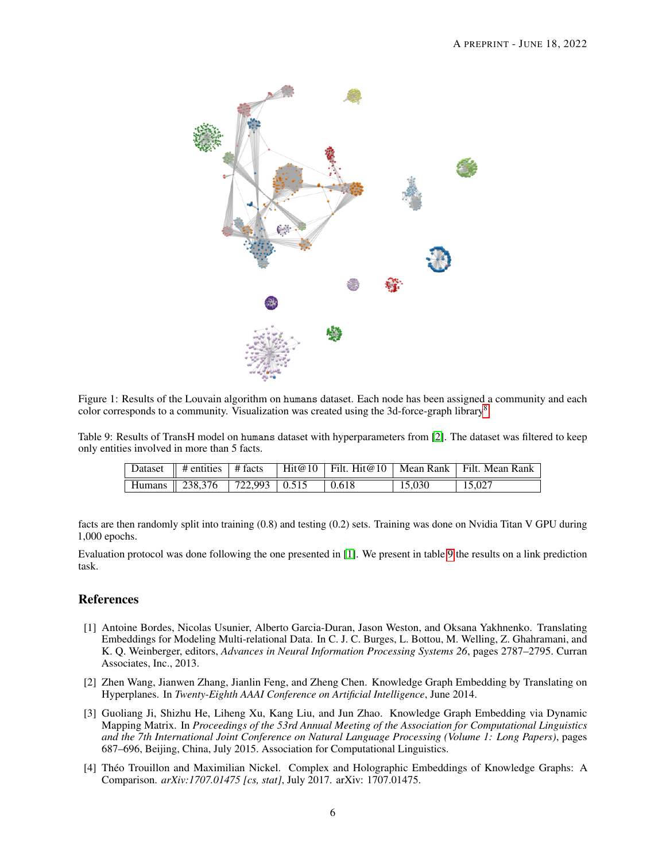

<span id="page-5-4"></span>Figure 1: Results of the Louvain algorithm on humans dataset. Each node has been assigned a community and each color corresponds to a community. Visualization was created using the 3d-force-graph library[8](#page-4-5) .

Table 9: Results of TransH model on humans dataset with hyperparameters from [\[2\]](#page-5-1). The dataset was filtered to keep only entities involved in more than 5 facts.

<span id="page-5-5"></span>

|                                    |  |        | Dataset    # entities    # facts    Hit@10    Filt. Hit@10    Mean Rank    Filt. Mean Rank |
|------------------------------------|--|--------|--------------------------------------------------------------------------------------------|
| Humans 238,376 722,993 0.515 0.618 |  | 15.030 | 15,027                                                                                     |

facts are then randomly split into training (0.8) and testing (0.2) sets. Training was done on Nvidia Titan V GPU during 1,000 epochs.

Evaluation protocol was done following the one presented in [\[1\]](#page-5-0). We present in table [9](#page-5-5) the results on a link prediction task.

# References

- <span id="page-5-0"></span>[1] Antoine Bordes, Nicolas Usunier, Alberto Garcia-Duran, Jason Weston, and Oksana Yakhnenko. Translating Embeddings for Modeling Multi-relational Data. In C. J. C. Burges, L. Bottou, M. Welling, Z. Ghahramani, and K. Q. Weinberger, editors, *Advances in Neural Information Processing Systems 26*, pages 2787–2795. Curran Associates, Inc., 2013.
- <span id="page-5-1"></span>[2] Zhen Wang, Jianwen Zhang, Jianlin Feng, and Zheng Chen. Knowledge Graph Embedding by Translating on Hyperplanes. In *Twenty-Eighth AAAI Conference on Artificial Intelligence*, June 2014.
- <span id="page-5-2"></span>[3] Guoliang Ji, Shizhu He, Liheng Xu, Kang Liu, and Jun Zhao. Knowledge Graph Embedding via Dynamic Mapping Matrix. In *Proceedings of the 53rd Annual Meeting of the Association for Computational Linguistics and the 7th International Joint Conference on Natural Language Processing (Volume 1: Long Papers)*, pages 687–696, Beijing, China, July 2015. Association for Computational Linguistics.
- <span id="page-5-3"></span>[4] Théo Trouillon and Maximilian Nickel. Complex and Holographic Embeddings of Knowledge Graphs: A Comparison. *arXiv:1707.01475 [cs, stat]*, July 2017. arXiv: 1707.01475.